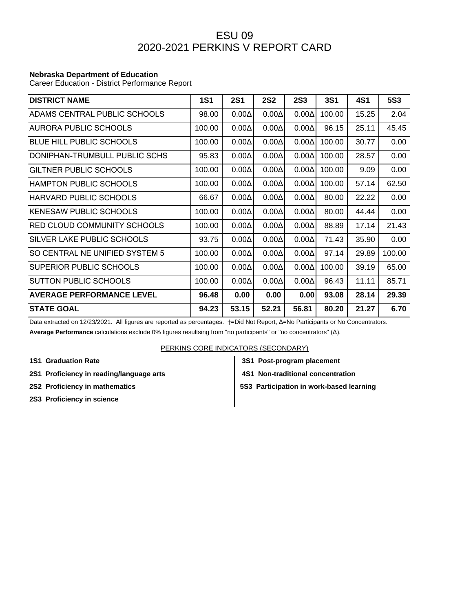## ESU 09 2020-2021 PERKINS V REPORT CARD

## **Nebraska Department of Education**

Career Education - District Performance Report

| <b>DISTRICT NAME</b>             | <b>1S1</b> | <b>2S1</b>   | <b>2S2</b>   | <b>2S3</b>   | <b>3S1</b> | 4S1   | <b>5S3</b> |
|----------------------------------|------------|--------------|--------------|--------------|------------|-------|------------|
| ADAMS CENTRAL PUBLIC SCHOOLS     | 98.00      | $0.00\Delta$ | $0.00\Delta$ | $0.00\Delta$ | 100.00     | 15.25 | 2.04       |
| <b>AURORA PUBLIC SCHOOLS</b>     | 100.00     | $0.00\Delta$ | $0.00\Delta$ | $0.00\Delta$ | 96.15      | 25.11 | 45.45      |
| BLUE HILL PUBLIC SCHOOLS         | 100.00     | $0.00\Delta$ | $0.00\Delta$ | $0.00\Delta$ | 100.00     | 30.77 | 0.00       |
| DONIPHAN-TRUMBULL PUBLIC SCHS    | 95.83      | $0.00\Delta$ | $0.00\Delta$ | $0.00\Delta$ | 100.00     | 28.57 | 0.00       |
| GILTNER PUBLIC SCHOOLS           | 100.00     | $0.00\Delta$ | $0.00\Delta$ | $0.00\Delta$ | 100.00     | 9.09  | 0.00       |
| HAMPTON PUBLIC SCHOOLS           | 100.00     | $0.00\Delta$ | $0.00\Delta$ | $0.00\Delta$ | 100.00     | 57.14 | 62.50      |
| <b>HARVARD PUBLIC SCHOOLS</b>    | 66.67      | $0.00\Delta$ | $0.00\Delta$ | $0.00\Delta$ | 80.00      | 22.22 | 0.00       |
| <b>KENESAW PUBLIC SCHOOLS</b>    | 100.00     | $0.00\Delta$ | $0.00\Delta$ | $0.00\Delta$ | 80.00      | 44.44 | 0.00       |
| RED CLOUD COMMUNITY SCHOOLS      | 100.00     | $0.00\Delta$ | $0.00\Delta$ | $0.00\Delta$ | 88.89      | 17.14 | 21.43      |
| SILVER LAKE PUBLIC SCHOOLS       | 93.75      | $0.00\Delta$ | $0.00\Delta$ | $0.00\Delta$ | 71.43      | 35.90 | 0.00       |
| SO CENTRAL NE UNIFIED SYSTEM 5   | 100.00     | $0.00\Delta$ | $0.00\Delta$ | $0.00\Delta$ | 97.14      | 29.89 | 100.00     |
| SUPERIOR PUBLIC SCHOOLS          | 100.00     | $0.00\Delta$ | $0.00\Delta$ | $0.00\Delta$ | 100.00     | 39.19 | 65.00      |
| <b>SUTTON PUBLIC SCHOOLS</b>     | 100.00     | $0.00\Delta$ | $0.00\Delta$ | $0.00\Delta$ | 96.43      | 11.11 | 85.71      |
| <b>AVERAGE PERFORMANCE LEVEL</b> | 96.48      | 0.00         | 0.00         | 0.00         | 93.08      | 28.14 | 29.39      |
| <b>STATE GOAL</b>                | 94.23      | 53.15        | 52.21        | 56.81        | 80.20      | 21.27 | 6.70       |

Data extracted on 12/23/2021. All figures are reported as percentages. †=Did Not Report, Δ=No Participants or No Concentrators. **Average Performance** calculations exclude 0% figures resultsing from "no participants" or "no concentrators" (Δ).

## PERKINS CORE INDICATORS (SECONDARY)

- 2S1 Proficiency in reading/language arts **4S1 Non-traditional concentration**
- 
- **2S3 Proficiency in science**
- **1S1 Graduation Rate 3S1 Post-program placement**
	-
- **2S2 Proficiency in mathematics**  $\begin{vmatrix} 553 \end{vmatrix}$  **5S3 Participation in work-based learning**